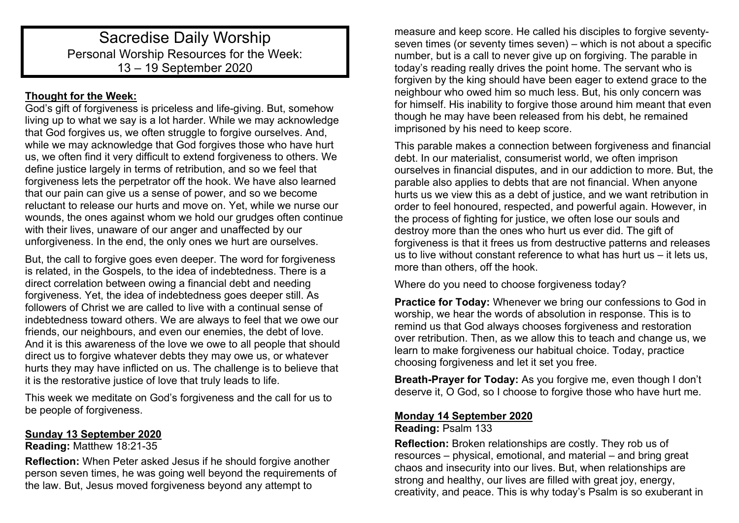# Sacredise Daily Worship Personal Worship Resources for the Week: 13 – 19 September 2020

## **Thought for the Week:**

God's gift of forgiveness is priceless and life-giving. But, somehow living up to what we say is a lot harder. While we may acknowledge that God forgives us, we often struggle to forgive ourselves. And, while we may acknowledge that God forgives those who have hurt us, we often find it very difficult to extend forgiveness to others. We define justice largely in terms of retribution, and so we feel that forgiveness lets the perpetrator off the hook. We have also learned that our pain can give us a sense of power, and so we become reluctant to release our hurts and move on. Yet, while we nurse our wounds, the ones against whom we hold our grudges often continue with their lives, unaware of our anger and unaffected by our unforgiveness. In the end, the only ones we hurt are ourselves.

But, the call to forgive goes even deeper. The word for forgiveness is related, in the Gospels, to the idea of indebtedness. There is a direct correlation between owing a financial debt and needing forgiveness. Yet, the idea of indebtedness goes deeper still. As followers of Christ we are called to live with a continual sense of indebtedness toward others. We are always to feel that we owe our friends, our neighbours, and even our enemies, the debt of love. And it is this awareness of the love we owe to all people that should direct us to forgive whatever debts they may owe us, or whatever hurts they may have inflicted on us. The challenge is to believe that it is the restorative justice of love that truly leads to life.

This week we meditate on God's forgiveness and the call for us to be people of forgiveness.

#### **Sunday 13 September 2020**

#### **Reading:** Matthew 18:21-35

**Reflection:** When Peter asked Jesus if he should forgive another person seven times, he was going well beyond the requirements of the law. But, Jesus moved forgiveness beyond any attempt to

measure and keep score. He called his disciples to forgive seventyseven times (or seventy times seven) – which is not about a specific number, but is a call to never give up on forgiving. The parable in today's reading really drives the point home. The servant who is forgiven by the king should have been eager to extend grace to the neighbour who owed him so much less. But, his only concern was for himself. His inability to forgive those around him meant that even though he may have been released from his debt, he remained imprisoned by his need to keep score.

This parable makes a connection between forgiveness and financial debt. In our materialist, consumerist world, we often imprison ourselves in financial disputes, and in our addiction to more. But, the parable also applies to debts that are not financial. When anyone hurts us we view this as a debt of justice, and we want retribution in order to feel honoured, respected, and powerful again. However, in the process of fighting for justice, we often lose our souls and destroy more than the ones who hurt us ever did. The gift of forgiveness is that it frees us from destructive patterns and releases us to live without constant reference to what has hurt us – it lets us, more than others, off the hook.

Where do you need to choose forgiveness today?

**Practice for Today:** Whenever we bring our confessions to God in worship, we hear the words of absolution in response. This is to remind us that God always chooses forgiveness and restoration over retribution. Then, as we allow this to teach and change us, we learn to make forgiveness our habitual choice. Today, practice choosing forgiveness and let it set you free.

**Breath-Prayer for Today:** As you forgive me, even though I don't deserve it, O God, so I choose to forgive those who have hurt me.

## **Monday 14 September 2020**

# **Reading:** Psalm 133

**Reflection:** Broken relationships are costly. They rob us of resources – physical, emotional, and material – and bring great chaos and insecurity into our lives. But, when relationships are strong and healthy, our lives are filled with great joy, energy, creativity, and peace. This is why today's Psalm is so exuberant in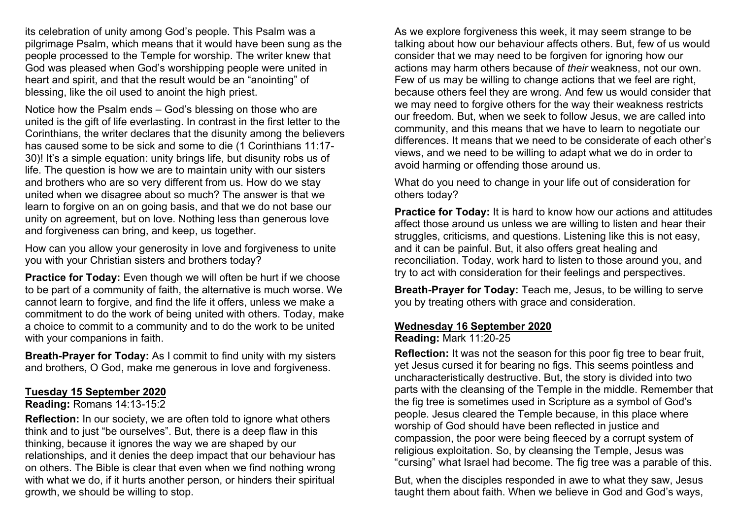its celebration of unity among God's people. This Psalm was a pilgrimage Psalm, which means that it would have been sung as the people processed to the Temple for worship. The writer knew that God was pleased when God's worshipping people were united in heart and spirit, and that the result would be an "anointing" of blessing, like the oil used to anoint the high priest.

Notice how the Psalm ends – God's blessing on those who are united is the gift of life everlasting. In contrast in the first letter to the Corinthians, the writer declares that the disunity among the believers has caused some to be sick and some to die (1 Corinthians 11:17- 30)! It's a simple equation: unity brings life, but disunity robs us of life. The question is how we are to maintain unity with our sisters and brothers who are so very different from us. How do we stay united when we disagree about so much? The answer is that we learn to forgive on an on going basis, and that we do not base our unity on agreement, but on love. Nothing less than generous love and forgiveness can bring, and keep, us together.

How can you allow your generosity in love and forgiveness to unite you with your Christian sisters and brothers today?

**Practice for Today:** Even though we will often be hurt if we choose to be part of a community of faith, the alternative is much worse. We cannot learn to forgive, and find the life it offers, unless we make a commitment to do the work of being united with others. Today, make a choice to commit to a community and to do the work to be united with your companions in faith.

**Breath-Prayer for Today:** As I commit to find unity with my sisters and brothers, O God, make me generous in love and forgiveness.

#### **Tuesday 15 September 2020**

#### **Reading:** Romans 14:13-15:2

**Reflection:** In our society, we are often told to ignore what others think and to just "be ourselves". But, there is a deep flaw in this thinking, because it ignores the way we are shaped by our relationships, and it denies the deep impact that our behaviour has on others. The Bible is clear that even when we find nothing wrong with what we do, if it hurts another person, or hinders their spiritual growth, we should be willing to stop.

As we explore forgiveness this week, it may seem strange to be talking about how our behaviour affects others. But, few of us would consider that we may need to be forgiven for ignoring how our actions may harm others because of *their* weakness, not our own. Few of us may be willing to change actions that we feel are right, because others feel they are wrong. And few us would consider that we may need to forgive others for the way their weakness restricts our freedom. But, when we seek to follow Jesus, we are called into community, and this means that we have to learn to negotiate our differences. It means that we need to be considerate of each other's views, and we need to be willing to adapt what we do in order to avoid harming or offending those around us.

What do you need to change in your life out of consideration for others today?

**Practice for Today:** It is hard to know how our actions and attitudes affect those around us unless we are willing to listen and hear their struggles, criticisms, and questions. Listening like this is not easy, and it can be painful. But, it also offers great healing and reconciliation. Today, work hard to listen to those around you, and try to act with consideration for their feelings and perspectives.

**Breath-Prayer for Today:** Teach me, Jesus, to be willing to serve you by treating others with grace and consideration.

#### **Wednesday 16 September 2020**

**Reading:** Mark 11:20-25

**Reflection:** It was not the season for this poor fig tree to bear fruit. yet Jesus cursed it for bearing no figs. This seems pointless and uncharacteristically destructive. But, the story is divided into two parts with the cleansing of the Temple in the middle. Remember that the fig tree is sometimes used in Scripture as a symbol of God's people. Jesus cleared the Temple because, in this place where worship of God should have been reflected in justice and compassion, the poor were being fleeced by a corrupt system of religious exploitation. So, by cleansing the Temple, Jesus was "cursing" what Israel had become. The fig tree was a parable of this.

But, when the disciples responded in awe to what they saw, Jesus taught them about faith. When we believe in God and God's ways,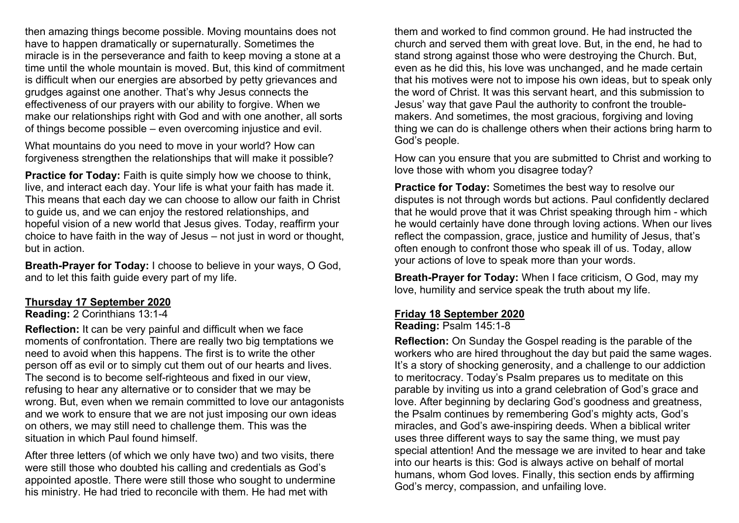then amazing things become possible. Moving mountains does not have to happen dramatically or supernaturally. Sometimes the miracle is in the perseverance and faith to keep moving a stone at a time until the whole mountain is moved. But, this kind of commitment is difficult when our energies are absorbed by petty grievances and grudges against one another. That's why Jesus connects the effectiveness of our prayers with our ability to forgive. When we make our relationships right with God and with one another, all sorts of things become possible – even overcoming injustice and evil.

What mountains do you need to move in your world? How can forgiveness strengthen the relationships that will make it possible?

**Practice for Today:** Faith is quite simply how we choose to think, live, and interact each day. Your life is what your faith has made it. This means that each day we can choose to allow our faith in Christ to guide us, and we can enjoy the restored relationships, and hopeful vision of a new world that Jesus gives. Today, reaffirm your choice to have faith in the way of Jesus – not just in word or thought, but in action.

**Breath-Prayer for Today:** I choose to believe in your ways, O God, and to let this faith guide every part of my life.

#### **Thursday 17 September 2020**

**Reading:** 2 Corinthians 13:1-4

**Reflection:** It can be very painful and difficult when we face moments of confrontation. There are really two big temptations we need to avoid when this happens. The first is to write the other person off as evil or to simply cut them out of our hearts and lives. The second is to become self-righteous and fixed in our view, refusing to hear any alternative or to consider that we may be wrong. But, even when we remain committed to love our antagonists and we work to ensure that we are not just imposing our own ideas on others, we may still need to challenge them. This was the situation in which Paul found himself.

After three letters (of which we only have two) and two visits, there were still those who doubted his calling and credentials as God's appointed apostle. There were still those who sought to undermine his ministry. He had tried to reconcile with them. He had met with

them and worked to find common ground. He had instructed the church and served them with great love. But, in the end, he had to stand strong against those who were destroying the Church. But, even as he did this, his love was unchanged, and he made certain that his motives were not to impose his own ideas, but to speak only the word of Christ. It was this servant heart, and this submission to Jesus' way that gave Paul the authority to confront the troublemakers. And sometimes, the most gracious, forgiving and loving thing we can do is challenge others when their actions bring harm to God's people.

How can you ensure that you are submitted to Christ and working to love those with whom you disagree today?

**Practice for Today:** Sometimes the best way to resolve our disputes is not through words but actions. Paul confidently declared that he would prove that it was Christ speaking through him - which he would certainly have done through loving actions. When our lives reflect the compassion, grace, justice and humility of Jesus, that's often enough to confront those who speak ill of us. Today, allow your actions of love to speak more than your words.

**Breath-Prayer for Today:** When I face criticism, O God, may my love, humility and service speak the truth about my life.

## **Friday 18 September 2020**

**Reading:** Psalm 145:1-8

**Reflection:** On Sunday the Gospel reading is the parable of the workers who are hired throughout the day but paid the same wages. It's a story of shocking generosity, and a challenge to our addiction to meritocracy. Today's Psalm prepares us to meditate on this parable by inviting us into a grand celebration of God's grace and love. After beginning by declaring God's goodness and greatness, the Psalm continues by remembering God's mighty acts, God's miracles, and God's awe-inspiring deeds. When a biblical writer uses three different ways to say the same thing, we must pay special attention! And the message we are invited to hear and take into our hearts is this: God is always active on behalf of mortal humans, whom God loves. Finally, this section ends by affirming God's mercy, compassion, and unfailing love.